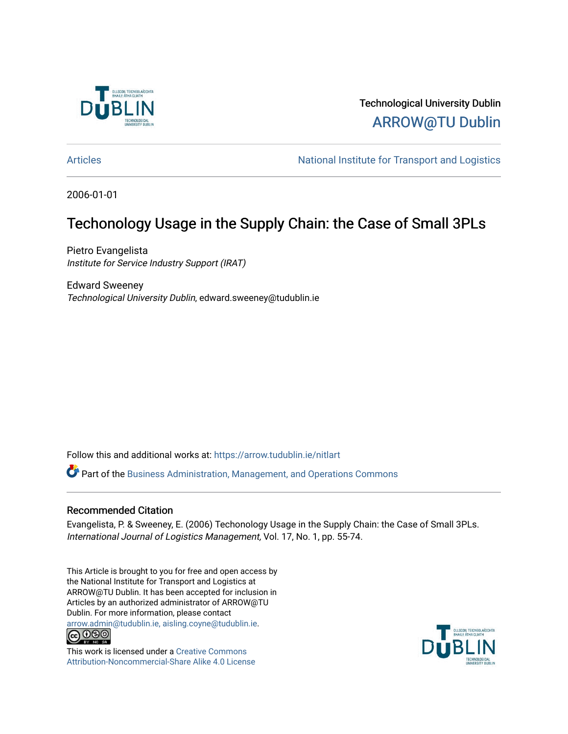

Technological University Dublin [ARROW@TU Dublin](https://arrow.tudublin.ie/) 

[Articles](https://arrow.tudublin.ie/nitlart) **Articles** Articles Articles Articles Articles Articles Articles Articles Articles Articles Articles Articles Articles Articles Articles Articles Articles Articles Articles Articles Articles Articles Articles Arti

2006-01-01

# Techonology Usage in the Supply Chain: the Case of Small 3PLs

Pietro Evangelista Institute for Service Industry Support (IRAT)

Edward Sweeney Technological University Dublin, edward.sweeney@tudublin.ie

Follow this and additional works at: [https://arrow.tudublin.ie/nitlart](https://arrow.tudublin.ie/nitlart?utm_source=arrow.tudublin.ie%2Fnitlart%2F6&utm_medium=PDF&utm_campaign=PDFCoverPages) 

Part of the [Business Administration, Management, and Operations Commons](http://network.bepress.com/hgg/discipline/623?utm_source=arrow.tudublin.ie%2Fnitlart%2F6&utm_medium=PDF&utm_campaign=PDFCoverPages)

#### Recommended Citation

Evangelista, P. & Sweeney, E. (2006) Techonology Usage in the Supply Chain: the Case of Small 3PLs. International Journal of Logistics Management, Vol. 17, No. 1, pp. 55-74.

This Article is brought to you for free and open access by the National Institute for Transport and Logistics at ARROW@TU Dublin. It has been accepted for inclusion in Articles by an authorized administrator of ARROW@TU Dublin. For more information, please contact [arrow.admin@tudublin.ie, aisling.coyne@tudublin.ie](mailto:arrow.admin@tudublin.ie,%20aisling.coyne@tudublin.ie).<br>
co 000



This work is licensed under a [Creative Commons](http://creativecommons.org/licenses/by-nc-sa/4.0/) [Attribution-Noncommercial-Share Alike 4.0 License](http://creativecommons.org/licenses/by-nc-sa/4.0/)

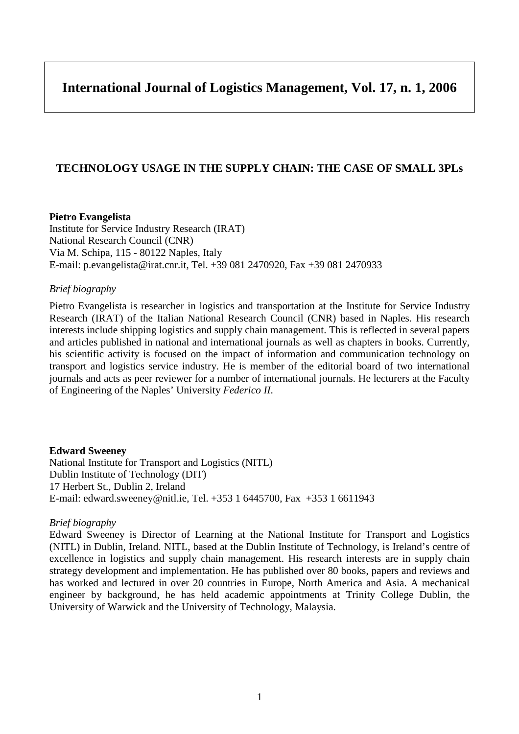# **International Journal of Logistics Management, Vol. 17, n. 1, 2006**

## **TECHNOLOGY USAGE IN THE SUPPLY CHAIN: THE CASE OF SMALL 3PLs**

#### **Pietro Evangelista**

Institute for Service Industry Research (IRAT) National Research Council (CNR) Via M. Schipa, 115 - 80122 Naples, Italy E-mail: p.evangelista@irat.cnr.it, Tel. +39 081 2470920, Fax +39 081 2470933

#### *Brief biography*

Pietro Evangelista is researcher in logistics and transportation at the Institute for Service Industry Research (IRAT) of the Italian National Research Council (CNR) based in Naples. His research interests include shipping logistics and supply chain management. This is reflected in several papers and articles published in national and international journals as well as chapters in books. Currently, his scientific activity is focused on the impact of information and communication technology on transport and logistics service industry. He is member of the editorial board of two international journals and acts as peer reviewer for a number of international journals. He lecturers at the Faculty of Engineering of the Naples' University *Federico II*.

#### **Edward Sweeney**

National Institute for Transport and Logistics (NITL) Dublin Institute of Technology (DIT) 17 Herbert St., Dublin 2, Ireland E-mail: edward.sweeney@nitl.ie, Tel. +353 1 6445700, Fax +353 1 6611943

#### *Brief biography*

Edward Sweeney is Director of Learning at the National Institute for Transport and Logistics (NITL) in Dublin, Ireland. NITL, based at the Dublin Institute of Technology, is Ireland's centre of excellence in logistics and supply chain management. His research interests are in supply chain strategy development and implementation. He has published over 80 books, papers and reviews and has worked and lectured in over 20 countries in Europe, North America and Asia. A mechanical engineer by background, he has held academic appointments at Trinity College Dublin, the University of Warwick and the University of Technology, Malaysia.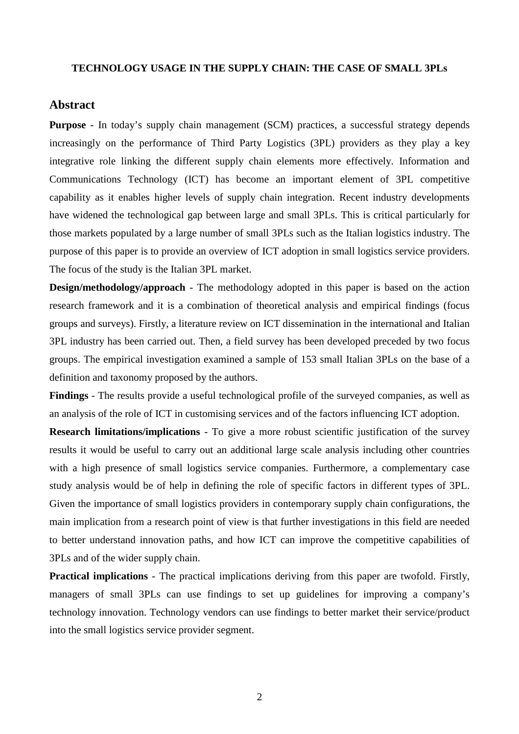#### **TECHNOLOGY USAGE IN THE SUPPLY CHAIN: THE CASE OF SMALL 3PLs**

#### **Abstract**

**Purpose** - In today's supply chain management (SCM) practices, a successful strategy depends increasingly on the performance of Third Party Logistics (3PL) providers as they play a key integrative role linking the different supply chain elements more effectively. Information and Communications Technology (ICT) has become an important element of 3PL competitive capability as it enables higher levels of supply chain integration. Recent industry developments have widened the technological gap between large and small 3PLs. This is critical particularly for those markets populated by a large number of small 3PLs such as the Italian logistics industry. The purpose of this paper is to provide an overview of ICT adoption in small logistics service providers. The focus of the study is the Italian 3PL market.

**Design/methodology/approach** - The methodology adopted in this paper is based on the action research framework and it is a combination of theoretical analysis and empirical findings (focus groups and surveys). Firstly, a literature review on ICT dissemination in the international and Italian 3PL industry has been carried out. Then, a field survey has been developed preceded by two focus groups. The empirical investigation examined a sample of 153 small Italian 3PLs on the base of a definition and taxonomy proposed by the authors.

**Findings** - The results provide a useful technological profile of the surveyed companies, as well as an analysis of the role of ICT in customising services and of the factors influencing ICT adoption.

**Research limitations/implications** - To give a more robust scientific justification of the survey results it would be useful to carry out an additional large scale analysis including other countries with a high presence of small logistics service companies. Furthermore, a complementary case study analysis would be of help in defining the role of specific factors in different types of 3PL. Given the importance of small logistics providers in contemporary supply chain configurations, the main implication from a research point of view is that further investigations in this field are needed to better understand innovation paths, and how ICT can improve the competitive capabilities of 3PLs and of the wider supply chain.

**Practical implications** - The practical implications deriving from this paper are twofold. Firstly, managers of small 3PLs can use findings to set up guidelines for improving a company's technology innovation. Technology vendors can use findings to better market their service/product into the small logistics service provider segment.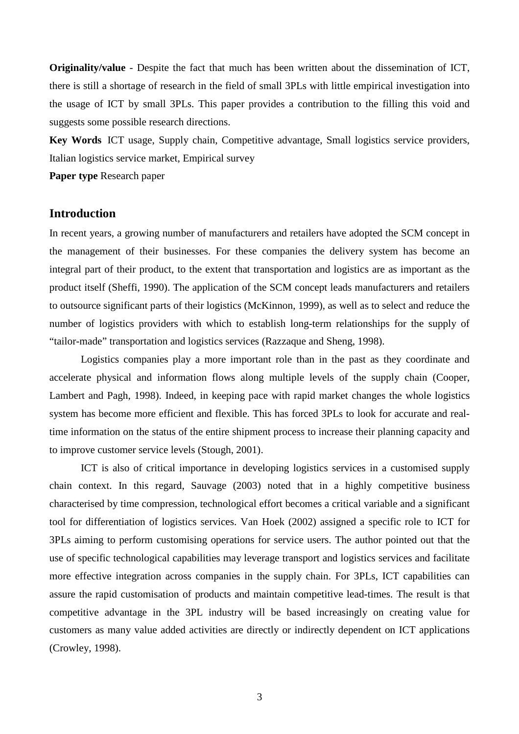**Originality/value** - Despite the fact that much has been written about the dissemination of ICT, there is still a shortage of research in the field of small 3PLs with little empirical investigation into the usage of ICT by small 3PLs. This paper provides a contribution to the filling this void and suggests some possible research directions.

**Key Words** ICT usage, Supply chain, Competitive advantage, Small logistics service providers, Italian logistics service market, Empirical survey

**Paper type** Research paper

#### **Introduction**

In recent years, a growing number of manufacturers and retailers have adopted the SCM concept in the management of their businesses. For these companies the delivery system has become an integral part of their product, to the extent that transportation and logistics are as important as the product itself (Sheffi, 1990). The application of the SCM concept leads manufacturers and retailers to outsource significant parts of their logistics (McKinnon, 1999), as well as to select and reduce the number of logistics providers with which to establish long-term relationships for the supply of "tailor-made" transportation and logistics services (Razzaque and Sheng, 1998).

Logistics companies play a more important role than in the past as they coordinate and accelerate physical and information flows along multiple levels of the supply chain (Cooper, Lambert and Pagh, 1998). Indeed, in keeping pace with rapid market changes the whole logistics system has become more efficient and flexible. This has forced 3PLs to look for accurate and realtime information on the status of the entire shipment process to increase their planning capacity and to improve customer service levels (Stough, 2001).

ICT is also of critical importance in developing logistics services in a customised supply chain context. In this regard, Sauvage (2003) noted that in a highly competitive business characterised by time compression, technological effort becomes a critical variable and a significant tool for differentiation of logistics services. Van Hoek (2002) assigned a specific role to ICT for 3PLs aiming to perform customising operations for service users. The author pointed out that the use of specific technological capabilities may leverage transport and logistics services and facilitate more effective integration across companies in the supply chain. For 3PLs, ICT capabilities can assure the rapid customisation of products and maintain competitive lead-times. The result is that competitive advantage in the 3PL industry will be based increasingly on creating value for customers as many value added activities are directly or indirectly dependent on ICT applications (Crowley, 1998).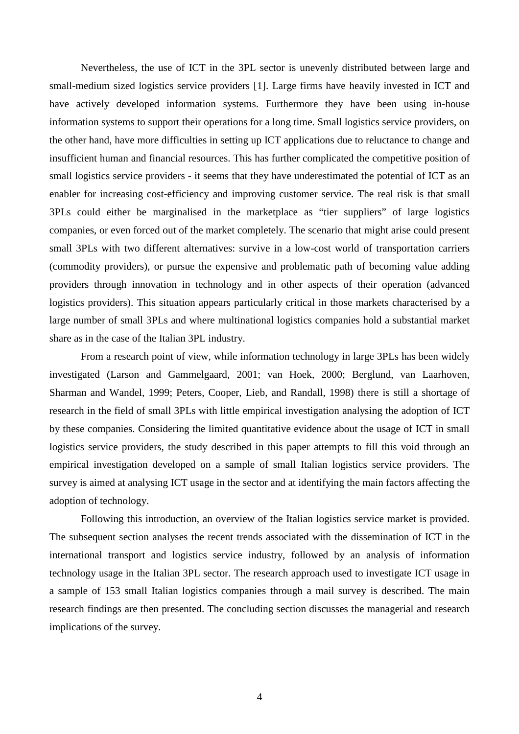Nevertheless, the use of ICT in the 3PL sector is unevenly distributed between large and small-medium sized logistics service providers [1]. Large firms have heavily invested in ICT and have actively developed information systems. Furthermore they have been using in-house information systems to support their operations for a long time. Small logistics service providers, on the other hand, have more difficulties in setting up ICT applications due to reluctance to change and insufficient human and financial resources. This has further complicated the competitive position of small logistics service providers - it seems that they have underestimated the potential of ICT as an enabler for increasing cost-efficiency and improving customer service. The real risk is that small 3PLs could either be marginalised in the marketplace as "tier suppliers" of large logistics companies, or even forced out of the market completely. The scenario that might arise could present small 3PLs with two different alternatives: survive in a low-cost world of transportation carriers (commodity providers), or pursue the expensive and problematic path of becoming value adding providers through innovation in technology and in other aspects of their operation (advanced logistics providers). This situation appears particularly critical in those markets characterised by a large number of small 3PLs and where multinational logistics companies hold a substantial market share as in the case of the Italian 3PL industry.

From a research point of view, while information technology in large 3PLs has been widely investigated (Larson and Gammelgaard, 2001; van Hoek, 2000; Berglund, van Laarhoven, Sharman and Wandel, 1999; Peters, Cooper, Lieb, and Randall, 1998) there is still a shortage of research in the field of small 3PLs with little empirical investigation analysing the adoption of ICT by these companies. Considering the limited quantitative evidence about the usage of ICT in small logistics service providers, the study described in this paper attempts to fill this void through an empirical investigation developed on a sample of small Italian logistics service providers. The survey is aimed at analysing ICT usage in the sector and at identifying the main factors affecting the adoption of technology.

Following this introduction, an overview of the Italian logistics service market is provided. The subsequent section analyses the recent trends associated with the dissemination of ICT in the international transport and logistics service industry, followed by an analysis of information technology usage in the Italian 3PL sector. The research approach used to investigate ICT usage in a sample of 153 small Italian logistics companies through a mail survey is described. The main research findings are then presented. The concluding section discusses the managerial and research implications of the survey.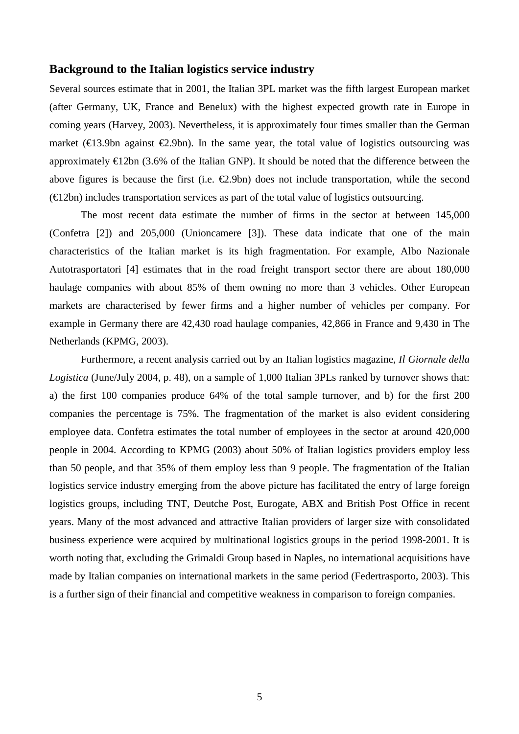#### **Background to the Italian logistics service industry**

Several sources estimate that in 2001, the Italian 3PL market was the fifth largest European market (after Germany, UK, France and Benelux) with the highest expected growth rate in Europe in coming years (Harvey, 2003). Nevertheless, it is approximately four times smaller than the German market ( $\in$ 13.9bn against  $\in$ 2.9bn). In the same year, the total value of logistics outsourcing was approximately  $\epsilon$ 12bn (3.6% of the Italian GNP). It should be noted that the difference between the above figures is because the first (i.e.  $\epsilon$ 2.9bn) does not include transportation, while the second  $(\infty)$  includes transportation services as part of the total value of logistics outsourcing.

The most recent data estimate the number of firms in the sector at between 145,000 (Confetra [2]) and 205,000 (Unioncamere [3]). These data indicate that one of the main characteristics of the Italian market is its high fragmentation. For example, Albo Nazionale Autotrasportatori [4] estimates that in the road freight transport sector there are about 180,000 haulage companies with about 85% of them owning no more than 3 vehicles. Other European markets are characterised by fewer firms and a higher number of vehicles per company. For example in Germany there are 42,430 road haulage companies, 42,866 in France and 9,430 in The Netherlands (KPMG, 2003).

Furthermore, a recent analysis carried out by an Italian logistics magazine, *Il Giornale della Logistica* (June/July 2004, p. 48), on a sample of 1,000 Italian 3PLs ranked by turnover shows that: a) the first 100 companies produce 64% of the total sample turnover, and b) for the first 200 companies the percentage is 75%. The fragmentation of the market is also evident considering employee data. Confetra estimates the total number of employees in the sector at around 420,000 people in 2004. According to KPMG (2003) about 50% of Italian logistics providers employ less than 50 people, and that 35% of them employ less than 9 people. The fragmentation of the Italian logistics service industry emerging from the above picture has facilitated the entry of large foreign logistics groups, including TNT, Deutche Post, Eurogate, ABX and British Post Office in recent years. Many of the most advanced and attractive Italian providers of larger size with consolidated business experience were acquired by multinational logistics groups in the period 1998-2001. It is worth noting that, excluding the Grimaldi Group based in Naples, no international acquisitions have made by Italian companies on international markets in the same period (Federtrasporto, 2003). This is a further sign of their financial and competitive weakness in comparison to foreign companies.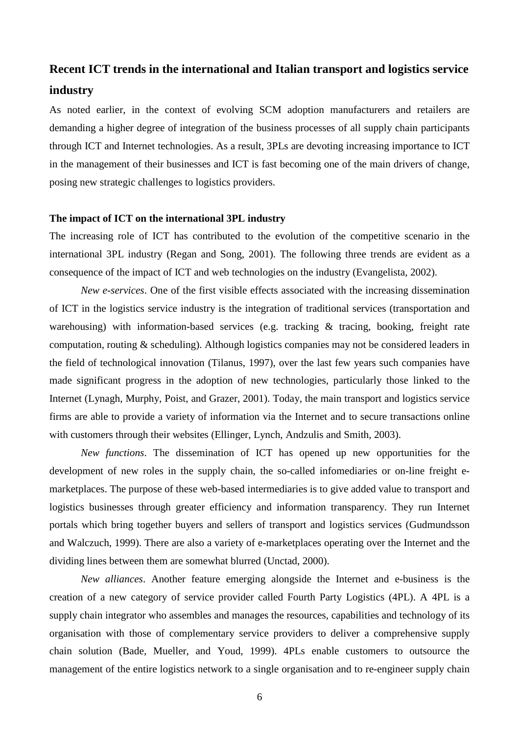# **Recent ICT trends in the international and Italian transport and logistics service industry**

As noted earlier, in the context of evolving SCM adoption manufacturers and retailers are demanding a higher degree of integration of the business processes of all supply chain participants through ICT and Internet technologies. As a result, 3PLs are devoting increasing importance to ICT in the management of their businesses and ICT is fast becoming one of the main drivers of change, posing new strategic challenges to logistics providers.

#### **The impact of ICT on the international 3PL industry**

The increasing role of ICT has contributed to the evolution of the competitive scenario in the international 3PL industry (Regan and Song, 2001). The following three trends are evident as a consequence of the impact of ICT and web technologies on the industry (Evangelista, 2002).

*New e-services*. One of the first visible effects associated with the increasing dissemination of ICT in the logistics service industry is the integration of traditional services (transportation and warehousing) with information-based services (e.g. tracking & tracing, booking, freight rate computation, routing & scheduling). Although logistics companies may not be considered leaders in the field of technological innovation (Tilanus, 1997), over the last few years such companies have made significant progress in the adoption of new technologies, particularly those linked to the Internet (Lynagh, Murphy, Poist, and Grazer, 2001). Today, the main transport and logistics service firms are able to provide a variety of information via the Internet and to secure transactions online with customers through their websites (Ellinger, Lynch, Andzulis and Smith, 2003).

*New functions*. The dissemination of ICT has opened up new opportunities for the development of new roles in the supply chain, the so-called infomediaries or on-line freight emarketplaces. The purpose of these web-based intermediaries is to give added value to transport and logistics businesses through greater efficiency and information transparency. They run Internet portals which bring together buyers and sellers of transport and logistics services (Gudmundsson and Walczuch, 1999). There are also a variety of e-marketplaces operating over the Internet and the dividing lines between them are somewhat blurred (Unctad, 2000).

*New alliances*. Another feature emerging alongside the Internet and e-business is the creation of a new category of service provider called Fourth Party Logistics (4PL). A 4PL is a supply chain integrator who assembles and manages the resources, capabilities and technology of its organisation with those of complementary service providers to deliver a comprehensive supply chain solution (Bade, Mueller, and Youd, 1999). 4PLs enable customers to outsource the management of the entire logistics network to a single organisation and to re-engineer supply chain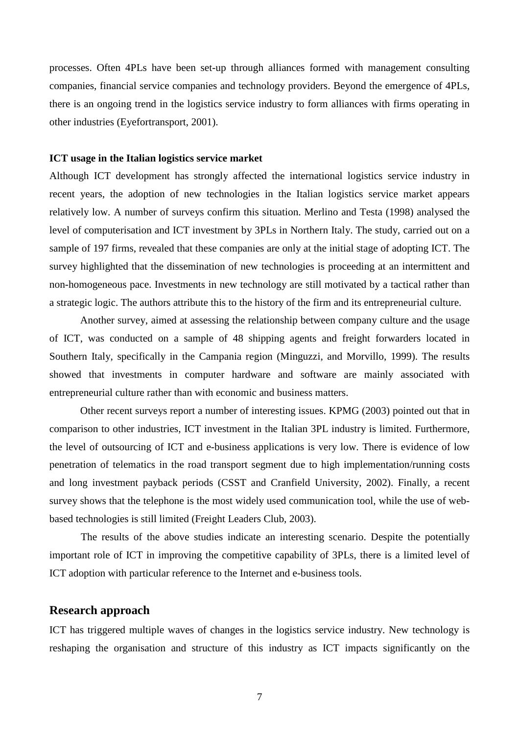processes. Often 4PLs have been set-up through alliances formed with management consulting companies, financial service companies and technology providers. Beyond the emergence of 4PLs, there is an ongoing trend in the logistics service industry to form alliances with firms operating in other industries (Eyefortransport, 2001).

#### **ICT usage in the Italian logistics service market**

Although ICT development has strongly affected the international logistics service industry in recent years, the adoption of new technologies in the Italian logistics service market appears relatively low. A number of surveys confirm this situation. Merlino and Testa (1998) analysed the level of computerisation and ICT investment by 3PLs in Northern Italy. The study, carried out on a sample of 197 firms, revealed that these companies are only at the initial stage of adopting ICT. The survey highlighted that the dissemination of new technologies is proceeding at an intermittent and non-homogeneous pace. Investments in new technology are still motivated by a tactical rather than a strategic logic. The authors attribute this to the history of the firm and its entrepreneurial culture.

Another survey, aimed at assessing the relationship between company culture and the usage of ICT, was conducted on a sample of 48 shipping agents and freight forwarders located in Southern Italy, specifically in the Campania region (Minguzzi, and Morvillo, 1999). The results showed that investments in computer hardware and software are mainly associated with entrepreneurial culture rather than with economic and business matters.

Other recent surveys report a number of interesting issues. KPMG (2003) pointed out that in comparison to other industries, ICT investment in the Italian 3PL industry is limited. Furthermore, the level of outsourcing of ICT and e-business applications is very low. There is evidence of low penetration of telematics in the road transport segment due to high implementation/running costs and long investment payback periods (CSST and Cranfield University, 2002). Finally, a recent survey shows that the telephone is the most widely used communication tool, while the use of webbased technologies is still limited (Freight Leaders Club, 2003).

The results of the above studies indicate an interesting scenario. Despite the potentially important role of ICT in improving the competitive capability of 3PLs, there is a limited level of ICT adoption with particular reference to the Internet and e-business tools.

#### **Research approach**

ICT has triggered multiple waves of changes in the logistics service industry. New technology is reshaping the organisation and structure of this industry as ICT impacts significantly on the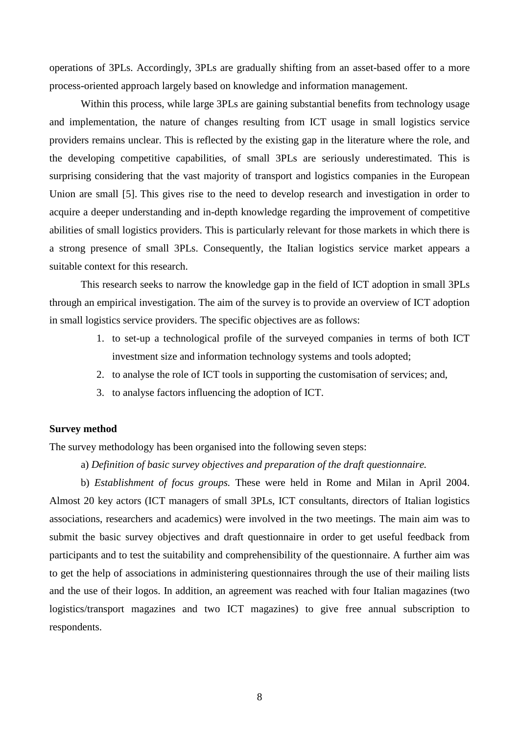operations of 3PLs. Accordingly, 3PLs are gradually shifting from an asset-based offer to a more process-oriented approach largely based on knowledge and information management.

Within this process, while large 3PLs are gaining substantial benefits from technology usage and implementation, the nature of changes resulting from ICT usage in small logistics service providers remains unclear. This is reflected by the existing gap in the literature where the role, and the developing competitive capabilities, of small 3PLs are seriously underestimated. This is surprising considering that the vast majority of transport and logistics companies in the European Union are small [5]. This gives rise to the need to develop research and investigation in order to acquire a deeper understanding and in-depth knowledge regarding the improvement of competitive abilities of small logistics providers. This is particularly relevant for those markets in which there is a strong presence of small 3PLs. Consequently, the Italian logistics service market appears a suitable context for this research.

This research seeks to narrow the knowledge gap in the field of ICT adoption in small 3PLs through an empirical investigation. The aim of the survey is to provide an overview of ICT adoption in small logistics service providers. The specific objectives are as follows:

- 1. to set-up a technological profile of the surveyed companies in terms of both ICT investment size and information technology systems and tools adopted;
- 2. to analyse the role of ICT tools in supporting the customisation of services; and,
- 3. to analyse factors influencing the adoption of ICT.

#### **Survey method**

The survey methodology has been organised into the following seven steps:

a) *Definition of basic survey objectives and preparation of the draft questionnaire.*

b) *Establishment of focus groups.* These were held in Rome and Milan in April 2004. Almost 20 key actors (ICT managers of small 3PLs, ICT consultants, directors of Italian logistics associations, researchers and academics) were involved in the two meetings. The main aim was to submit the basic survey objectives and draft questionnaire in order to get useful feedback from participants and to test the suitability and comprehensibility of the questionnaire. A further aim was to get the help of associations in administering questionnaires through the use of their mailing lists and the use of their logos. In addition, an agreement was reached with four Italian magazines (two logistics/transport magazines and two ICT magazines) to give free annual subscription to respondents.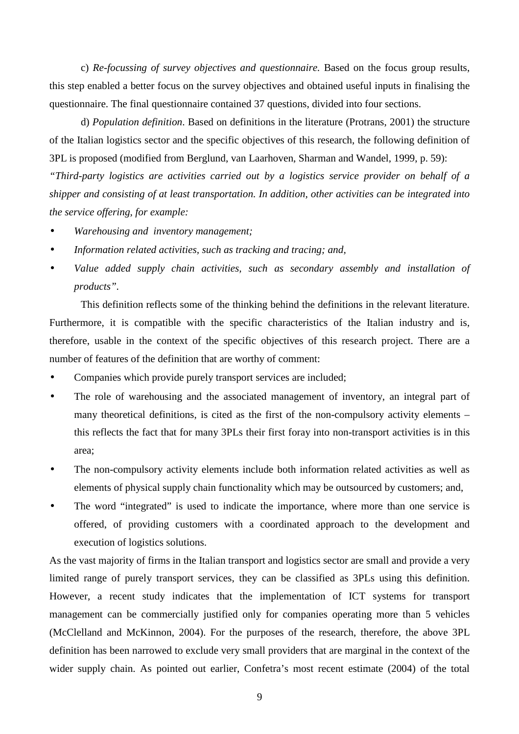c) *Re-focussing of survey objectives and questionnaire.* Based on the focus group results, this step enabled a better focus on the survey objectives and obtained useful inputs in finalising the questionnaire. The final questionnaire contained 37 questions, divided into four sections.

d) *Population definition*. Based on definitions in the literature (Protrans, 2001) the structure of the Italian logistics sector and the specific objectives of this research, the following definition of 3PL is proposed (modified from Berglund, van Laarhoven, Sharman and Wandel, 1999, p. 59):

*"Third-party logistics are activities carried out by a logistics service provider on behalf of a shipper and consisting of at least transportation. In addition, other activities can be integrated into the service offering, for example:* 

- *Warehousing and inventory management;*
- *Information related activities, such as tracking and tracing; and,*
- *Value added supply chain activities, such as secondary assembly and installation of products".*

This definition reflects some of the thinking behind the definitions in the relevant literature. Furthermore, it is compatible with the specific characteristics of the Italian industry and is, therefore, usable in the context of the specific objectives of this research project. There are a number of features of the definition that are worthy of comment:

- Companies which provide purely transport services are included;
- The role of warehousing and the associated management of inventory, an integral part of many theoretical definitions, is cited as the first of the non-compulsory activity elements – this reflects the fact that for many 3PLs their first foray into non-transport activities is in this area;
- The non-compulsory activity elements include both information related activities as well as elements of physical supply chain functionality which may be outsourced by customers; and,
- The word "integrated" is used to indicate the importance, where more than one service is offered, of providing customers with a coordinated approach to the development and execution of logistics solutions.

As the vast majority of firms in the Italian transport and logistics sector are small and provide a very limited range of purely transport services, they can be classified as 3PLs using this definition. However, a recent study indicates that the implementation of ICT systems for transport management can be commercially justified only for companies operating more than 5 vehicles (McClelland and McKinnon, 2004). For the purposes of the research, therefore, the above 3PL definition has been narrowed to exclude very small providers that are marginal in the context of the wider supply chain. As pointed out earlier, Confetra's most recent estimate (2004) of the total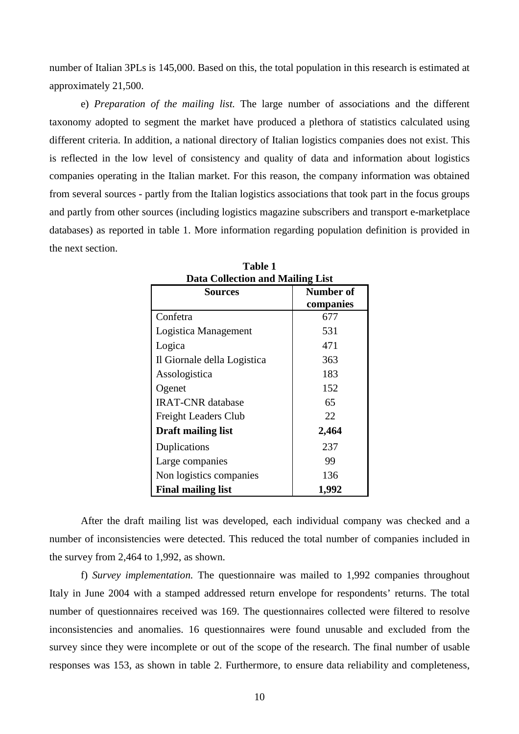number of Italian 3PLs is 145,000. Based on this, the total population in this research is estimated at approximately 21,500.

e) *Preparation of the mailing list.* The large number of associations and the different taxonomy adopted to segment the market have produced a plethora of statistics calculated using different criteria. In addition, a national directory of Italian logistics companies does not exist. This is reflected in the low level of consistency and quality of data and information about logistics companies operating in the Italian market. For this reason, the company information was obtained from several sources - partly from the Italian logistics associations that took part in the focus groups and partly from other sources (including logistics magazine subscribers and transport e-marketplace databases) as reported in table 1. More information regarding population definition is provided in the next section.

| Data Concenton and Mannig List<br><b>Sources</b> | <b>Number of</b> |
|--------------------------------------------------|------------------|
|                                                  | companies        |
| Confetra                                         | 677              |
| Logistica Management                             | 531              |
| Logica                                           | 471              |
| Il Giornale della Logistica                      | 363              |
| Assologistica                                    | 183              |
| Ogenet                                           | 152              |
| <b>IRAT-CNR</b> database                         | 65               |
| <b>Freight Leaders Club</b>                      | 22               |
| <b>Draft mailing list</b>                        | 2,464            |
| Duplications                                     | 237              |
| Large companies                                  | 99               |
| Non logistics companies                          | 136              |
| <b>Final mailing list</b>                        | 1,992            |

**Table 1 Data Collection and Mailing List** 

After the draft mailing list was developed, each individual company was checked and a number of inconsistencies were detected. This reduced the total number of companies included in the survey from 2,464 to 1,992, as shown.

f) *Survey implementation.* The questionnaire was mailed to 1,992 companies throughout Italy in June 2004 with a stamped addressed return envelope for respondents' returns. The total number of questionnaires received was 169. The questionnaires collected were filtered to resolve inconsistencies and anomalies. 16 questionnaires were found unusable and excluded from the survey since they were incomplete or out of the scope of the research. The final number of usable responses was 153, as shown in table 2. Furthermore, to ensure data reliability and completeness,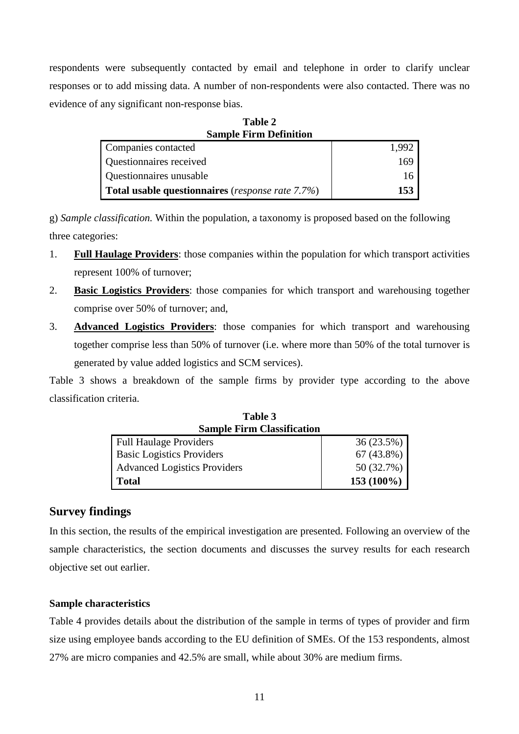respondents were subsequently contacted by email and telephone in order to clarify unclear responses or to add missing data. A number of non-respondents were also contacted. There was no evidence of any significant non-response bias.

**Table 2** 

| <b>Sample Firm Definition</b>                                   |       |  |  |  |  |  |  |
|-----------------------------------------------------------------|-------|--|--|--|--|--|--|
| Companies contacted                                             | 1,992 |  |  |  |  |  |  |
| Questionnaires received                                         | 169   |  |  |  |  |  |  |
| Questionnaires unusable                                         | 16    |  |  |  |  |  |  |
| <b>Total usable questionnaires</b> ( <i>response rate</i> 7.7%) | 153   |  |  |  |  |  |  |

g) *Sample classification.* Within the population, a taxonomy is proposed based on the following three categories:

- 1. **Full Haulage Providers**: those companies within the population for which transport activities represent 100% of turnover;
- 2. **Basic Logistics Providers**: those companies for which transport and warehousing together comprise over 50% of turnover; and,
- 3. **Advanced Logistics Providers**: those companies for which transport and warehousing together comprise less than 50% of turnover (i.e. where more than 50% of the total turnover is generated by value added logistics and SCM services).

Table 3 shows a breakdown of the sample firms by provider type according to the above classification criteria.

| <b>Sample Firm Classification</b>   |              |  |  |  |  |  |
|-------------------------------------|--------------|--|--|--|--|--|
| <b>Full Haulage Providers</b>       | 36 (23.5%)   |  |  |  |  |  |
| <b>Basic Logistics Providers</b>    | $67(43.8\%)$ |  |  |  |  |  |
| <b>Advanced Logistics Providers</b> | 50(32.7%)    |  |  |  |  |  |
| <b>Total</b>                        | $153(100\%)$ |  |  |  |  |  |
|                                     |              |  |  |  |  |  |

**Table 3** 

# **Survey findings**

In this section, the results of the empirical investigation are presented. Following an overview of the sample characteristics, the section documents and discusses the survey results for each research objective set out earlier.

## **Sample characteristics**

Table 4 provides details about the distribution of the sample in terms of types of provider and firm size using employee bands according to the EU definition of SMEs. Of the 153 respondents, almost 27% are micro companies and 42.5% are small, while about 30% are medium firms.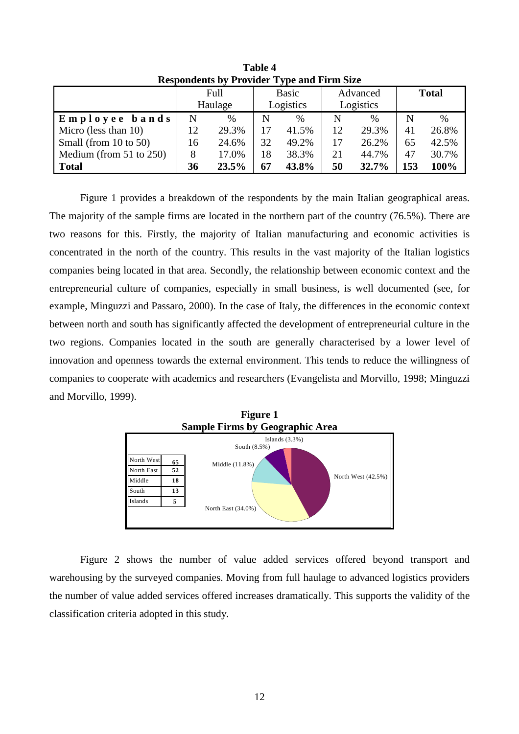| Respondents by Librated Type and Firm Size |         |       |              |               |           |               |     |              |  |
|--------------------------------------------|---------|-------|--------------|---------------|-----------|---------------|-----|--------------|--|
|                                            | Full    |       | <b>Basic</b> |               | Advanced  |               |     | <b>Total</b> |  |
|                                            | Haulage |       | Logistics    |               | Logistics |               |     |              |  |
| Employee bands                             | N       | $\%$  | N            | $\frac{0}{0}$ | N         | $\frac{0}{0}$ | N   | $\%$         |  |
| Micro (less than 10)                       | 12      | 29.3% | 17           | 41.5%         | 12        | 29.3%         | 41  | 26.8%        |  |
| Small (from $10$ to $50$ )                 | 16      | 24.6% | 32           | 49.2%         | 17        | 26.2%         | 65  | 42.5%        |  |
| Medium (from $51$ to $250$ )               | 8       | 17.0% | 18           | 38.3%         | 21        | 44.7%         | 47  | 30.7%        |  |
| <b>Total</b>                               | 36      | 23.5% | 67           | 43.8%         | 50        | 32.7%         | 153 | 100%         |  |

**Table 4 Respondents by Provider Type and Firm Size** 

Figure 1 provides a breakdown of the respondents by the main Italian geographical areas. The majority of the sample firms are located in the northern part of the country (76.5%). There are two reasons for this. Firstly, the majority of Italian manufacturing and economic activities is concentrated in the north of the country. This results in the vast majority of the Italian logistics companies being located in that area. Secondly, the relationship between economic context and the entrepreneurial culture of companies, especially in small business, is well documented (see, for example, Minguzzi and Passaro, 2000). In the case of Italy, the differences in the economic context between north and south has significantly affected the development of entrepreneurial culture in the two regions. Companies located in the south are generally characterised by a lower level of innovation and openness towards the external environment. This tends to reduce the willingness of companies to cooperate with academics and researchers (Evangelista and Morvillo, 1998; Minguzzi and Morvillo, 1999).



Figure 2 shows the number of value added services offered beyond transport and warehousing by the surveyed companies. Moving from full haulage to advanced logistics providers the number of value added services offered increases dramatically. This supports the validity of the classification criteria adopted in this study.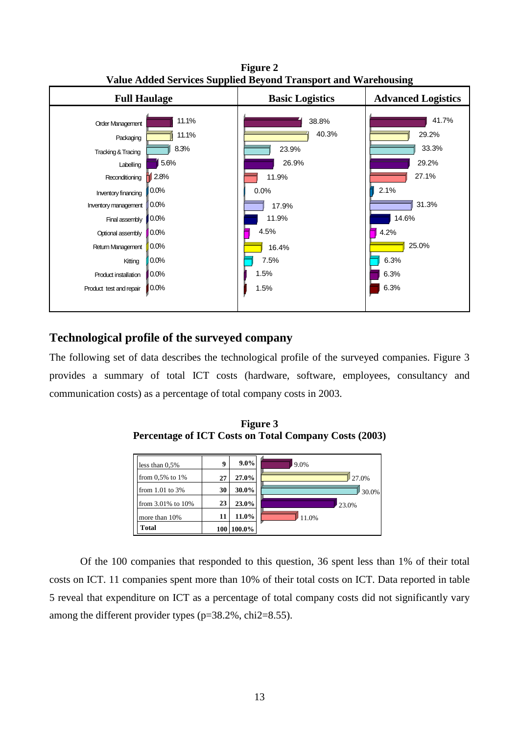

**Figure 2 Value Added Services Supplied Beyond Transport and Warehousing** 

## **Technological profile of the surveyed company**

The following set of data describes the technological profile of the surveyed companies. Figure 3 provides a summary of total ICT costs (hardware, software, employees, consultancy and communication costs) as a percentage of total company costs in 2003.

**Figure 3 Percentage of ICT Costs on Total Company Costs (2003)** 

| less than $0.5%$        | 9   | $9.0\%$ | 9.0%       |
|-------------------------|-----|---------|------------|
| from $0.5\%$ to $1\%$   | 27  | 27.0%   | 27.0%      |
| from $1.01$ to $3\%$    | 30  | 30.0%   | 30.0%      |
| from $3.01\%$ to $10\%$ | 23  | 23.0%   | 23.0%      |
| more than 10%           | 11  | 11.0%   | 11.0%<br>◸ |
| Total                   | 100 | 100.0%  |            |

Of the 100 companies that responded to this question, 36 spent less than 1% of their total costs on ICT. 11 companies spent more than 10% of their total costs on ICT. Data reported in table 5 reveal that expenditure on ICT as a percentage of total company costs did not significantly vary among the different provider types (p=38.2%, chi2=8.55).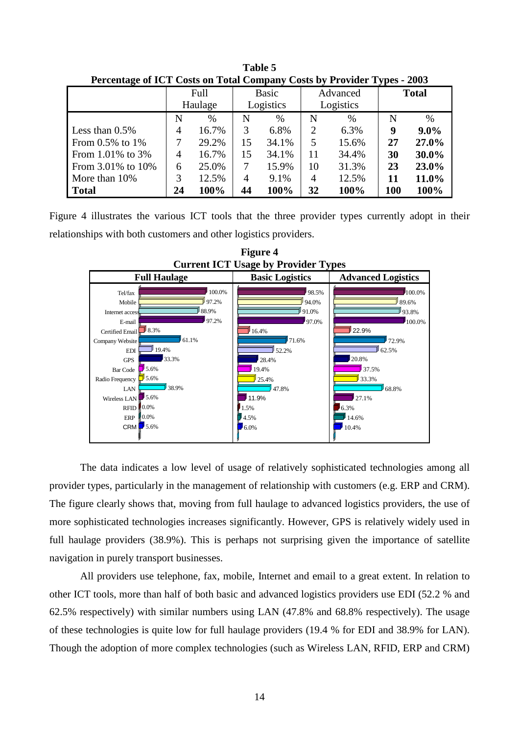| Teremage of ICT Costs on Total Company Costs by Trovider Types - 2000 |         |       |           |       |                |          |              |         |  |
|-----------------------------------------------------------------------|---------|-------|-----------|-------|----------------|----------|--------------|---------|--|
|                                                                       | Full    |       | Basic     |       |                | Advanced | <b>Total</b> |         |  |
|                                                                       | Haulage |       | Logistics |       | Logistics      |          |              |         |  |
|                                                                       | N       | $\%$  | N         | $\%$  | N              | $\%$     | N            | $\%$    |  |
| Less than $0.5\%$                                                     | 4       | 16.7% | 3         | 6.8%  | 2              | 6.3%     | 9            | $9.0\%$ |  |
| From $0.5\%$ to $1\%$                                                 |         | 29.2% | 15        | 34.1% | 5              | 15.6%    | 27           | 27.0%   |  |
| From $1.01\%$ to $3\%$                                                | 4       | 16.7% | 15        | 34.1% | 11             | 34.4%    | 30           | 30.0%   |  |
| From $3.01\%$ to $10\%$                                               | 6       | 25.0% |           | 15.9% | 10             | 31.3%    | 23           | 23.0%   |  |
| More than 10%                                                         | 3       | 12.5% | 4         | 9.1%  | $\overline{4}$ | 12.5%    | 11           | 11.0%   |  |
| <b>Total</b>                                                          | 24      | 100%  | 44        | 100%  | 32             | 100%     | <b>100</b>   | 100%    |  |

**Table 5 Percentage of ICT Costs on Total Company Costs by Provider Types - 2003** 

Figure 4 illustrates the various ICT tools that the three provider types currently adopt in their relationships with both customers and other logistics providers.



The data indicates a low level of usage of relatively sophisticated technologies among all provider types, particularly in the management of relationship with customers (e.g. ERP and CRM). The figure clearly shows that, moving from full haulage to advanced logistics providers, the use of more sophisticated technologies increases significantly. However, GPS is relatively widely used in full haulage providers (38.9%). This is perhaps not surprising given the importance of satellite navigation in purely transport businesses.

All providers use telephone, fax, mobile, Internet and email to a great extent. In relation to other ICT tools, more than half of both basic and advanced logistics providers use EDI (52.2 % and 62.5% respectively) with similar numbers using LAN (47.8% and 68.8% respectively). The usage of these technologies is quite low for full haulage providers (19.4 % for EDI and 38.9% for LAN). Though the adoption of more complex technologies (such as Wireless LAN, RFID, ERP and CRM)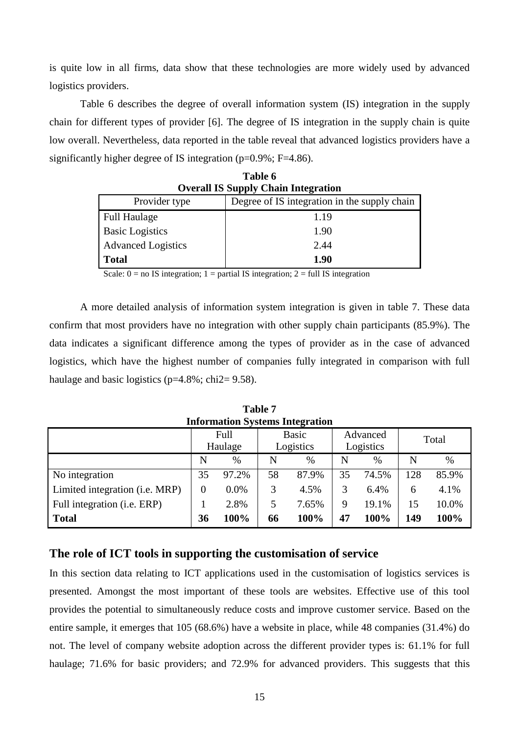is quite low in all firms, data show that these technologies are more widely used by advanced logistics providers.

Table 6 describes the degree of overall information system (IS) integration in the supply chain for different types of provider [6]. The degree of IS integration in the supply chain is quite low overall. Nevertheless, data reported in the table reveal that advanced logistics providers have a significantly higher degree of IS integration  $(p=0.9\%; F=4.86)$ .

**Table 6** 

| <b>Overall IS Supply Chain Integration</b>                    |      |  |  |  |  |  |  |
|---------------------------------------------------------------|------|--|--|--|--|--|--|
| Degree of IS integration in the supply chain<br>Provider type |      |  |  |  |  |  |  |
| <b>Full Haulage</b>                                           | 1.19 |  |  |  |  |  |  |
| <b>Basic Logistics</b>                                        | 1.90 |  |  |  |  |  |  |
| <b>Advanced Logistics</b>                                     | 2.44 |  |  |  |  |  |  |
| <b>Total</b>                                                  | 1.90 |  |  |  |  |  |  |

Scale:  $0 =$  no IS integration;  $1 =$  partial IS integration;  $2 =$  full IS integration

A more detailed analysis of information system integration is given in table 7. These data confirm that most providers have no integration with other supply chain participants (85.9%). The data indicates a significant difference among the types of provider as in the case of advanced logistics, which have the highest number of companies fully integrated in comparison with full haulage and basic logistics (p=4.8%; chi2= 9.58).

| Information Systems Integration         |                 |         |                           |       |                       |       |       |       |  |
|-----------------------------------------|-----------------|---------|---------------------------|-------|-----------------------|-------|-------|-------|--|
|                                         | Full<br>Haulage |         | <b>Basic</b><br>Logistics |       | Advanced<br>Logistics |       | Total |       |  |
|                                         | N               | $\%$    | N                         | $\%$  | N                     | $\%$  | N     | $\%$  |  |
| No integration                          | 35              | 97.2%   | 58                        | 87.9% | 35                    | 74.5% | 128   | 85.9% |  |
| Limited integration ( <i>i.e. MRP</i> ) |                 | $0.0\%$ | 3                         | 4.5%  | 3                     | 6.4%  | 6     | 4.1%  |  |
| Full integration (i.e. ERP)             |                 | 2.8%    | 5                         | 7.65% | 9                     | 19.1% | 15    | 10.0% |  |
| <b>Total</b>                            | 36              | 100%    | 66                        | 100%  | 47                    | 100%  | 149   | 100%  |  |

**Table 7 Information Systems Integration** 

## **The role of ICT tools in supporting the customisation of service**

In this section data relating to ICT applications used in the customisation of logistics services is presented. Amongst the most important of these tools are websites. Effective use of this tool provides the potential to simultaneously reduce costs and improve customer service. Based on the entire sample, it emerges that 105 (68.6%) have a website in place, while 48 companies (31.4%) do not. The level of company website adoption across the different provider types is: 61.1% for full haulage; 71.6% for basic providers; and 72.9% for advanced providers. This suggests that this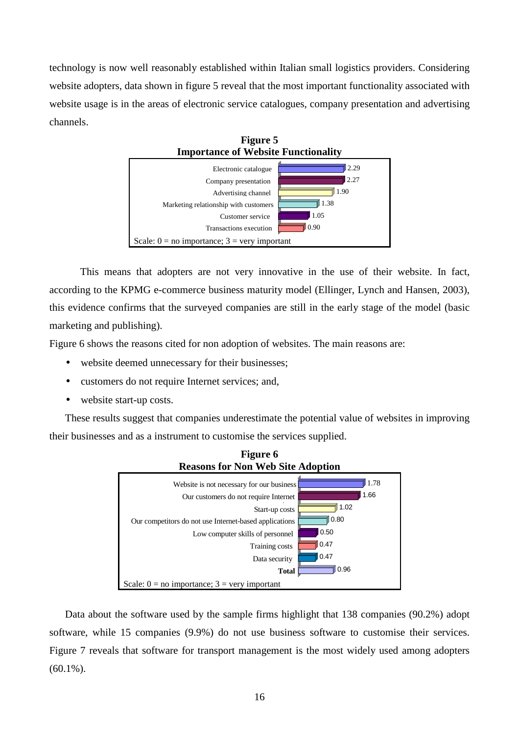technology is now well reasonably established within Italian small logistics providers. Considering website adopters, data shown in figure 5 reveal that the most important functionality associated with website usage is in the areas of electronic service catalogues, company presentation and advertising channels.



This means that adopters are not very innovative in the use of their website. In fact, according to the KPMG e-commerce business maturity model (Ellinger, Lynch and Hansen, 2003), this evidence confirms that the surveyed companies are still in the early stage of the model (basic marketing and publishing).

Figure 6 shows the reasons cited for non adoption of websites. The main reasons are:

- website deemed unnecessary for their businesses;
- customers do not require Internet services; and,
- website start-up costs.

These results suggest that companies underestimate the potential value of websites in improving their businesses and as a instrument to customise the services supplied.



Data about the software used by the sample firms highlight that 138 companies (90.2%) adopt software, while 15 companies (9.9%) do not use business software to customise their services. Figure 7 reveals that software for transport management is the most widely used among adopters (60.1%).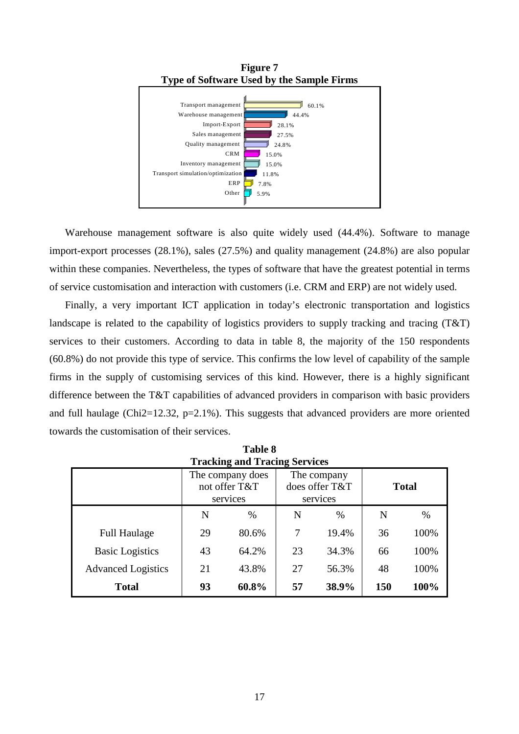

Warehouse management software is also quite widely used (44.4%). Software to manage import-export processes (28.1%), sales (27.5%) and quality management (24.8%) are also popular within these companies. Nevertheless, the types of software that have the greatest potential in terms of service customisation and interaction with customers (i.e. CRM and ERP) are not widely used.

Finally, a very important ICT application in today's electronic transportation and logistics landscape is related to the capability of logistics providers to supply tracking and tracing (T&T) services to their customers. According to data in table 8, the majority of the 150 respondents (60.8%) do not provide this type of service. This confirms the low level of capability of the sample firms in the supply of customising services of this kind. However, there is a highly significant difference between the T&T capabilities of advanced providers in comparison with basic providers and full haulage (Chi2=12.32, p=2.1%). This suggests that advanced providers are more oriented towards the customisation of their services.

| <b>Tracking and Tracing Services</b> |             |                                               |    |                                           |              |      |   |   |  |  |
|--------------------------------------|-------------|-----------------------------------------------|----|-------------------------------------------|--------------|------|---|---|--|--|
|                                      |             | The company does<br>not offer T&T<br>services |    | The company<br>does offer T&T<br>services | <b>Total</b> |      |   |   |  |  |
|                                      | N<br>$\%$   |                                               |    |                                           | N            | $\%$ | N | % |  |  |
| <b>Full Haulage</b>                  | 29          | 80.6%                                         |    | 19.4%                                     | 36           | 100% |   |   |  |  |
| <b>Basic Logistics</b>               | 43          | 64.2%                                         | 23 | 34.3%                                     | 66           | 100% |   |   |  |  |
| <b>Advanced Logistics</b>            | 21<br>43.8% |                                               | 27 | 56.3%                                     | 48           | 100% |   |   |  |  |
| <b>Total</b>                         | 93          | 60.8%                                         | 57 | 38.9%                                     | 150          | 100% |   |   |  |  |

**Table 8 Tracking and Tracing Services**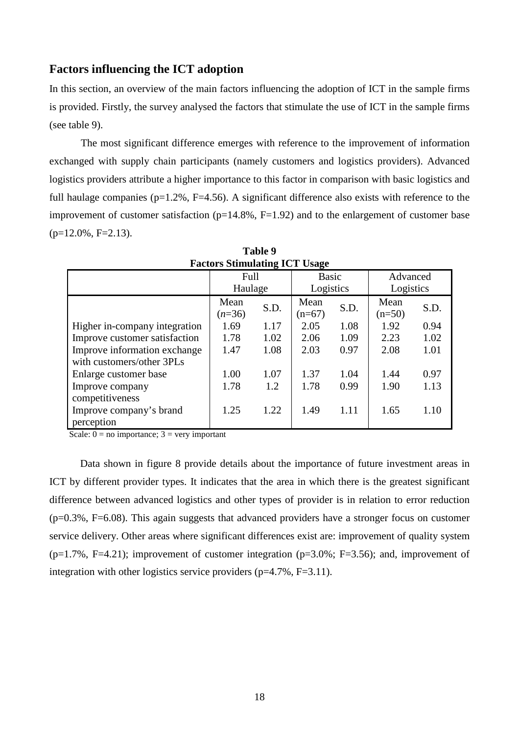### **Factors influencing the ICT adoption**

In this section, an overview of the main factors influencing the adoption of ICT in the sample firms is provided. Firstly, the survey analysed the factors that stimulate the use of ICT in the sample firms (see table 9).

The most significant difference emerges with reference to the improvement of information exchanged with supply chain participants (namely customers and logistics providers). Advanced logistics providers attribute a higher importance to this factor in comparison with basic logistics and full haulage companies ( $p=1.2\%$ , F=4.56). A significant difference also exists with reference to the improvement of customer satisfaction ( $p=14.8\%$ ,  $F=1.92$ ) and to the enlargement of customer base  $(p=12.0\%, F=2.13)$ .

| Pactors Stimulating ICT Osage |                          |      |                  |      |                  |      |  |  |  |  |
|-------------------------------|--------------------------|------|------------------|------|------------------|------|--|--|--|--|
|                               | Full                     |      | <b>Basic</b>     |      | Advanced         |      |  |  |  |  |
|                               | Haulage                  |      | Logistics        |      | Logistics        |      |  |  |  |  |
|                               | Mean<br>S.D.<br>$(n=36)$ |      | Mean<br>$(n=67)$ | S.D. | Mean<br>$(n=50)$ | S.D. |  |  |  |  |
| Higher in-company integration | 1.69                     | 1.17 | 2.05             | 1.08 | 1.92             | 0.94 |  |  |  |  |
| Improve customer satisfaction | 1.78                     | 1.02 | 2.06             | 1.09 | 2.23             | 1.02 |  |  |  |  |
| Improve information exchange  | 1.47                     | 1.08 | 2.03             | 0.97 | 2.08             | 1.01 |  |  |  |  |
| with customers/other 3PLs     |                          |      |                  |      |                  |      |  |  |  |  |
| Enlarge customer base         | 1.00                     | 1.07 | 1.37             | 1.04 | 1.44             | 0.97 |  |  |  |  |
| Improve company               | 1.78                     | 1.2  | 1.78             | 0.99 | 1.90             | 1.13 |  |  |  |  |
| competitiveness               |                          |      |                  |      |                  |      |  |  |  |  |
| Improve company's brand       | 1.25                     | 1.22 | 1.49             | 1.11 | 1.65             | 1.10 |  |  |  |  |
| perception                    |                          |      |                  |      |                  |      |  |  |  |  |

**Table 9 Factors Stimulating ICT Usage** 

Scale:  $0 = no$  importance;  $3 = very$  important

Data shown in figure 8 provide details about the importance of future investment areas in ICT by different provider types. It indicates that the area in which there is the greatest significant difference between advanced logistics and other types of provider is in relation to error reduction (p=0.3%, F=6.08). This again suggests that advanced providers have a stronger focus on customer service delivery. Other areas where significant differences exist are: improvement of quality system  $(p=1.7\% , F=4.21)$ ; improvement of customer integration  $(p=3.0\% ; F=3.56)$ ; and, improvement of integration with other logistics service providers  $(p=4.7\%, F=3.11)$ .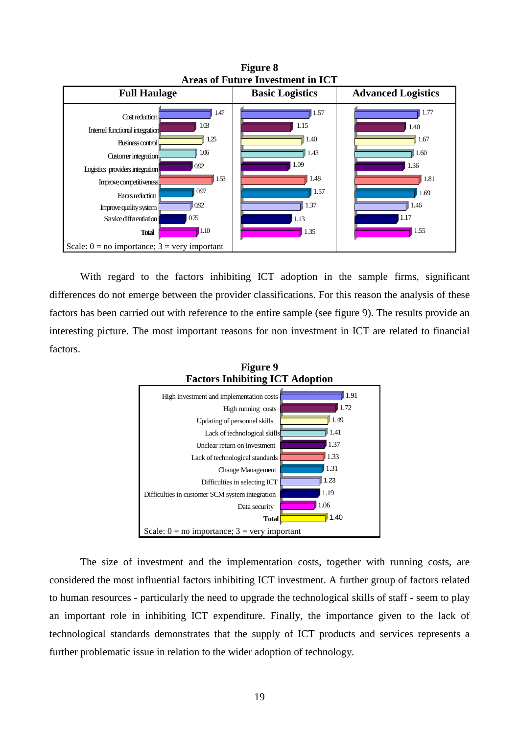

With regard to the factors inhibiting ICT adoption in the sample firms, significant differences do not emerge between the provider classifications. For this reason the analysis of these factors has been carried out with reference to the entire sample (see figure 9). The results provide an interesting picture. The most important reasons for non investment in ICT are related to financial factors.



The size of investment and the implementation costs, together with running costs, are considered the most influential factors inhibiting ICT investment. A further group of factors related to human resources - particularly the need to upgrade the technological skills of staff - seem to play an important role in inhibiting ICT expenditure. Finally, the importance given to the lack of technological standards demonstrates that the supply of ICT products and services represents a further problematic issue in relation to the wider adoption of technology.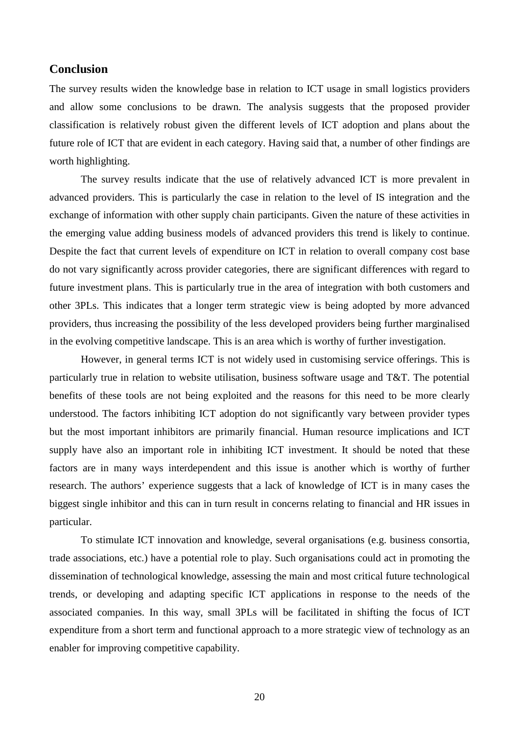## **Conclusion**

The survey results widen the knowledge base in relation to ICT usage in small logistics providers and allow some conclusions to be drawn. The analysis suggests that the proposed provider classification is relatively robust given the different levels of ICT adoption and plans about the future role of ICT that are evident in each category. Having said that, a number of other findings are worth highlighting.

The survey results indicate that the use of relatively advanced ICT is more prevalent in advanced providers. This is particularly the case in relation to the level of IS integration and the exchange of information with other supply chain participants. Given the nature of these activities in the emerging value adding business models of advanced providers this trend is likely to continue. Despite the fact that current levels of expenditure on ICT in relation to overall company cost base do not vary significantly across provider categories, there are significant differences with regard to future investment plans. This is particularly true in the area of integration with both customers and other 3PLs. This indicates that a longer term strategic view is being adopted by more advanced providers, thus increasing the possibility of the less developed providers being further marginalised in the evolving competitive landscape. This is an area which is worthy of further investigation.

However, in general terms ICT is not widely used in customising service offerings. This is particularly true in relation to website utilisation, business software usage and T&T. The potential benefits of these tools are not being exploited and the reasons for this need to be more clearly understood. The factors inhibiting ICT adoption do not significantly vary between provider types but the most important inhibitors are primarily financial. Human resource implications and ICT supply have also an important role in inhibiting ICT investment. It should be noted that these factors are in many ways interdependent and this issue is another which is worthy of further research. The authors' experience suggests that a lack of knowledge of ICT is in many cases the biggest single inhibitor and this can in turn result in concerns relating to financial and HR issues in particular.

To stimulate ICT innovation and knowledge, several organisations (e.g. business consortia, trade associations, etc.) have a potential role to play. Such organisations could act in promoting the dissemination of technological knowledge, assessing the main and most critical future technological trends, or developing and adapting specific ICT applications in response to the needs of the associated companies. In this way, small 3PLs will be facilitated in shifting the focus of ICT expenditure from a short term and functional approach to a more strategic view of technology as an enabler for improving competitive capability.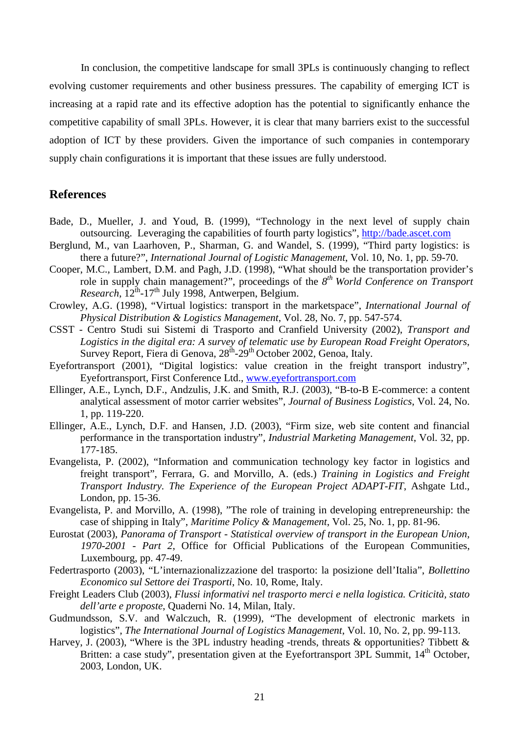In conclusion, the competitive landscape for small 3PLs is continuously changing to reflect evolving customer requirements and other business pressures. The capability of emerging ICT is increasing at a rapid rate and its effective adoption has the potential to significantly enhance the competitive capability of small 3PLs. However, it is clear that many barriers exist to the successful adoption of ICT by these providers. Given the importance of such companies in contemporary supply chain configurations it is important that these issues are fully understood.

#### **References**

- Bade, D., Mueller, J. and Youd, B. (1999), "Technology in the next level of supply chain outsourcing. Leveraging the capabilities of fourth party logistics", http://bade.ascet.com
- Berglund, M., van Laarhoven, P., Sharman, G. and Wandel, S. (1999), "Third party logistics: is there a future?", *International Journal of Logistic Management*, Vol. 10, No. 1, pp. 59-70.
- Cooper, M.C., Lambert, D.M. and Pagh, J.D. (1998), "What should be the transportation provider's role in supply chain management?", proceedings of the 8<sup>th</sup> World Conference on Transport  $$
- Crowley, A.G. (1998), "Virtual logistics: transport in the marketspace", *International Journal of Physical Distribution & Logistics Management*, Vol. 28, No. 7, pp. 547-574.
- CSST Centro Studi sui Sistemi di Trasporto and Cranfield University (2002), *Transport and Logistics in the digital era: A survey of telematic use by European Road Freight Operators*, Survey Report, Fiera di Genova, 28<sup>th</sup>-29<sup>th</sup> October 2002, Genoa, Italy.
- Eyefortransport (2001), "Digital logistics: value creation in the freight transport industry", Eyefortransport, First Conference Ltd., www.eyefortransport.com
- Ellinger, A.E., Lynch, D.F., Andzulis, J.K. and Smith, R.J. (2003), "B-to-B E-commerce: a content analytical assessment of motor carrier websites", *Journal of Business Logistics*, Vol. 24, No. 1, pp. 119-220.
- Ellinger, A.E., Lynch, D.F. and Hansen, J.D. (2003), "Firm size, web site content and financial performance in the transportation industry", *Industrial Marketing Management*, Vol. 32, pp. 177-185.
- Evangelista, P. (2002), "Information and communication technology key factor in logistics and freight transport", Ferrara, G. and Morvillo, A. (eds.) *Training in Logistics and Freight Transport Industry. The Experience of the European Project ADAPT-FIT*, Ashgate Ltd., London, pp. 15-36.
- Evangelista, P. and Morvillo, A. (1998), "The role of training in developing entrepreneurship: the case of shipping in Italy", *Maritime Policy & Management*, Vol. 25, No. 1, pp. 81-96.
- Eurostat (2003), *Panorama of Transport Statistical overview of transport in the European Union, 1970-2001 - Part 2*, Office for Official Publications of the European Communities, Luxembourg, pp. 47-49.
- Federtrasporto (2003), "L'internazionalizzazione del trasporto: la posizione dell'Italia", *Bollettino Economico sul Settore dei Trasporti*, No. 10, Rome, Italy.
- Freight Leaders Club (2003), *Flussi informativi nel trasporto merci e nella logistica. Criticità, stato dell'arte e proposte*, Quaderni No. 14, Milan, Italy.
- Gudmundsson, S.V. and Walczuch, R. (1999), "The development of electronic markets in logistics", *The International Journal of Logistics Management*, Vol. 10, No. 2, pp. 99-113.
- Harvey, J. (2003), "Where is the 3PL industry heading -trends, threats  $\&$  opportunities? Tibbett  $\&$ Britten: a case study", presentation given at the Eyefortransport 3PL Summit, 14<sup>th</sup> October, 2003, London, UK.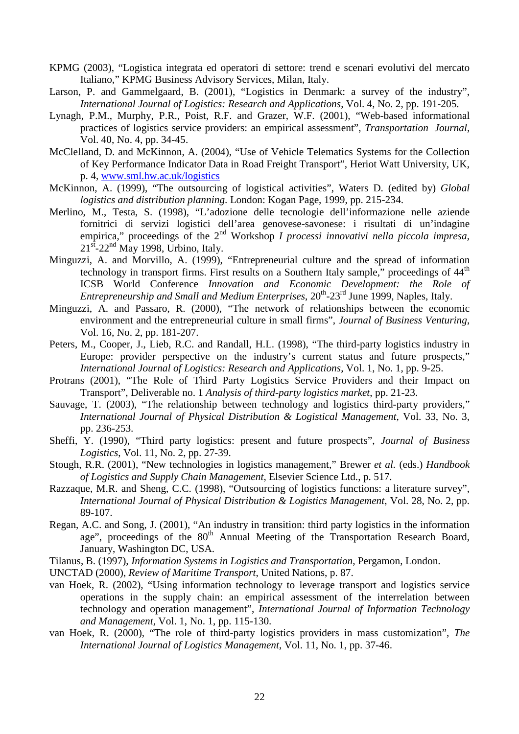- KPMG (2003), "Logistica integrata ed operatori di settore: trend e scenari evolutivi del mercato Italiano," KPMG Business Advisory Services, Milan, Italy.
- Larson, P. and Gammelgaard, B. (2001), "Logistics in Denmark: a survey of the industry", *International Journal of Logistics: Research and Applications*, Vol. 4, No. 2, pp. 191-205.
- Lynagh, P.M., Murphy, P.R., Poist, R.F. and Grazer, W.F. (2001), "Web-based informational practices of logistics service providers: an empirical assessment", *Transportation Journal*, Vol. 40, No. 4, pp. 34-45.
- McClelland, D. and McKinnon, A. (2004), "Use of Vehicle Telematics Systems for the Collection of Key Performance Indicator Data in Road Freight Transport", Heriot Watt University, UK, p. 4, www.sml.hw.ac.uk/logistics
- McKinnon, A. (1999), "The outsourcing of logistical activities", Waters D. (edited by) *Global logistics and distribution planning*. London: Kogan Page, 1999, pp. 215-234.
- Merlino, M., Testa, S. (1998), "L'adozione delle tecnologie dell'informazione nelle aziende fornitrici di servizi logistici dell'area genovese-savonese: i risultati di un'indagine empirica," proceedings of the 2<sup>nd</sup> Workshop *I processi innovativi nella piccola impresa*,  $21<sup>st</sup> - 22<sup>nd</sup>$  May 1998, Urbino, Italy.
- Minguzzi, A. and Morvillo, A. (1999), "Entrepreneurial culture and the spread of information technology in transport firms. First results on a Southern Italy sample," proceedings of 44<sup>th</sup> ICSB World Conference *Innovation and Economic Development: the Role of Entrepreneurship and Small and Medium Enterprises*,  $20^{th}$ -23<sup>rd</sup> June 1999, Naples, Italy.
- Minguzzi, A. and Passaro, R. (2000), "The network of relationships between the economic environment and the entrepreneurial culture in small firms", *Journal of Business Venturing*, Vol. 16, No. 2, pp. 181-207.
- Peters, M., Cooper, J., Lieb, R.C. and Randall, H.L. (1998), "The third-party logistics industry in Europe: provider perspective on the industry's current status and future prospects," *International Journal of Logistics: Research and Applications*, Vol. 1, No. 1, pp. 9-25.
- Protrans (2001), "The Role of Third Party Logistics Service Providers and their Impact on Transport", Deliverable no. 1 *Analysis of third-party logistics market*, pp. 21-23.
- Sauvage, T. (2003), "The relationship between technology and logistics third-party providers," *International Journal of Physical Distribution & Logistical Management*, Vol. 33, No. 3, pp. 236-253.
- Sheffi, Y. (1990), "Third party logistics: present and future prospects", *Journal of Business Logistics*, Vol. 11, No. 2, pp. 27-39.
- Stough, R.R. (2001), "New technologies in logistics management," Brewer *et al.* (eds.) *Handbook of Logistics and Supply Chain Management*, Elsevier Science Ltd., p. 517.
- Razzaque, M.R. and Sheng, C.C. (1998), "Outsourcing of logistics functions: a literature survey", *International Journal of Physical Distribution & Logistics Management*, Vol. 28, No. 2, pp. 89-107.
- Regan, A.C. and Song, J. (2001), "An industry in transition: third party logistics in the information age", proceedings of the 80<sup>th</sup> Annual Meeting of the Transportation Research Board, January, Washington DC, USA.
- Tilanus, B. (1997), *Information Systems in Logistics and Transportation*, Pergamon, London.
- UNCTAD (2000), *Review of Maritime Transport*, United Nations, p. 87.
- van Hoek, R. (2002), "Using information technology to leverage transport and logistics service operations in the supply chain: an empirical assessment of the interrelation between technology and operation management", *International Journal of Information Technology and Management*, Vol. 1, No. 1, pp. 115-130.
- van Hoek, R. (2000), "The role of third-party logistics providers in mass customization", *The International Journal of Logistics Management*, Vol. 11, No. 1, pp. 37-46.